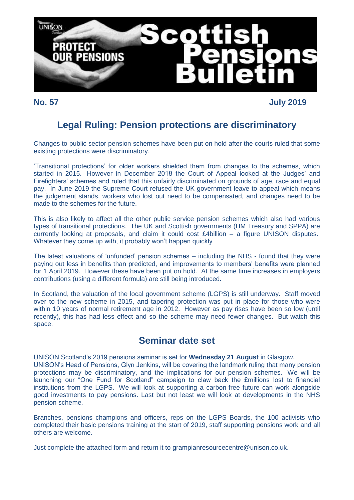

#### **No. 57 July 2019**

# **Legal Ruling: Pension protections are discriminatory**

Changes to public sector pension schemes have been put on hold after the courts ruled that some existing protections were discriminatory.

"Transitional protections" for older workers shielded them from changes to the schemes, which started in 2015. However in December 2018 the Court of Appeal looked at the Judges" and Firefighters' schemes and ruled that this unfairly discriminated on grounds of age, race and equal pay. In June 2019 the Supreme Court refused the UK government leave to appeal which means the judgement stands, workers who lost out need to be compensated, and changes need to be made to the schemes for the future.

This is also likely to affect all the other public service pension schemes which also had various types of transitional protections. The UK and Scottish governments (HM Treasury and SPPA) are currently looking at proposals, and claim it could cost £4billion – a figure UNISON disputes. Whatever they come up with, it probably won't happen quickly.

The latest valuations of "unfunded" pension schemes – including the NHS - found that they were paying out less in benefits than predicted, and improvements to members' benefits were planned for 1 April 2019. However these have been put on hold. At the same time increases in employers contributions (using a different formula) are still being introduced.

In Scotland, the valuation of the local government scheme (LGPS) is still underway. Staff moved over to the new scheme in 2015, and tapering protection was put in place for those who were within 10 years of normal retirement age in 2012. However as pay rises have been so low (until recently), this has had less effect and so the scheme may need fewer changes. But watch this space.

## **Seminar date set**

UNISON Scotland"s 2019 pensions seminar is set for **Wednesday 21 August** in Glasgow.

UNISON"s Head of Pensions, Glyn Jenkins, will be covering the landmark ruling that many pension protections may be discriminatory, and the implications for our pension schemes. We will be launching our "One Fund for Scotland" campaign to claw back the £millions lost to financial institutions from the LGPS. We will look at supporting a carbon-free future can work alongside good investments to pay pensions. Last but not least we will look at developments in the NHS pension scheme.

Branches, pensions champions and officers, reps on the LGPS Boards, the 100 activists who completed their basic pensions training at the start of 2019, staff supporting pensions work and all others are welcome.

Just complete the attached form and return it to [grampianresourcecentre@unison.co.uk.](mailto:grampianresourcecentre@unison.co.uk)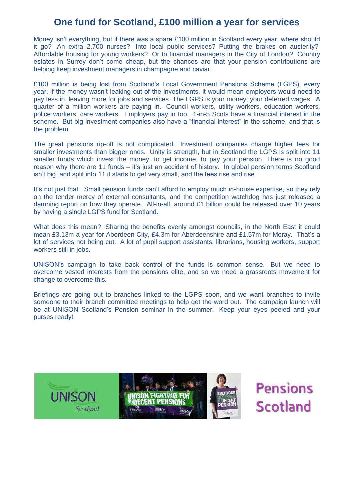### **One fund for Scotland, £100 million a year for services**

Money isn"t everything, but if there was a spare £100 million in Scotland every year, where should it go? An extra 2,700 nurses? Into local public services? Putting the brakes on austerity? Affordable housing for young workers? Or to financial managers in the City of London? Country estates in Surrey don't come cheap, but the chances are that your pension contributions are helping keep investment managers in champagne and caviar.

£100 million is being lost from Scotland"s Local Government Pensions Scheme (LGPS), every year. If the money wasn"t leaking out of the investments, it would mean employers would need to pay less in, leaving more for jobs and services. The LGPS is your money, your deferred wages. A quarter of a million workers are paying in. Council workers, utility workers, education workers, police workers, care workers. Employers pay in too. 1-in-5 Scots have a financial interest in the scheme. But big investment companies also have a "financial interest" in the scheme, and that is the problem.

The great pensions rip-off is not complicated. Investment companies charge higher fees for smaller investments than bigger ones. Unity is strength, but in Scotland the LGPS is split into 11 smaller funds which invest the money, to get income, to pay your pension. There is no good reason why there are 11 funds – it's just an accident of history. In global pension terms Scotland isn"t big, and split into 11 it starts to get very small, and the fees rise and rise.

It's not just that. Small pension funds can't afford to employ much in-house expertise, so they rely on the tender mercy of external consultants, and the competition watchdog has just released a damning report on how they operate. All-in-all, around £1 billion could be released over 10 years by having a single LGPS fund for Scotland.

What does this mean? Sharing the benefits evenly amongst councils, in the North East it could mean £3.13m a year for Aberdeen City, £4.3m for Aberdeenshire and £1.57m for Moray. That"s a lot of services not being cut. A lot of pupil support assistants, librarians, housing workers, support workers still in jobs.

UNISON"s campaign to take back control of the funds is common sense. But we need to overcome vested interests from the pensions elite, and so we need a grassroots movement for change to overcome this.

Briefings are going out to branches linked to the LGPS soon, and we want branches to invite someone to their branch committee meetings to help get the word out. The campaign launch will be at UNISON Scotland"s Pension seminar in the summer. Keep your eyes peeled and your purses ready!